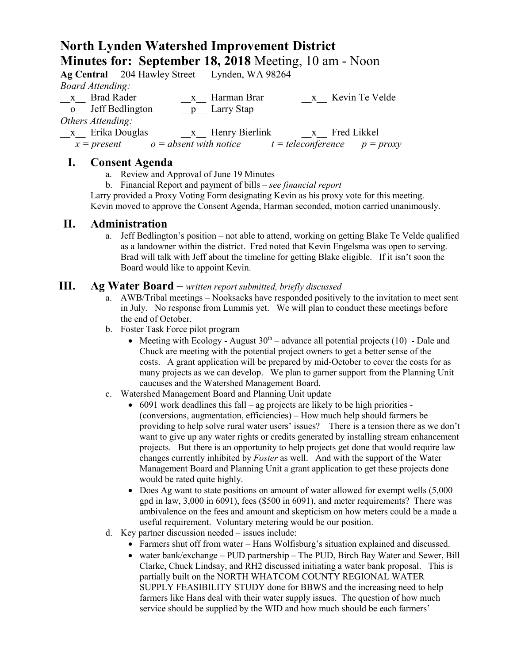# **North Lynden Watershed Improvement District Minutes for: September 18, 2018** Meeting, 10 am - Noon

|                         | Ag Central 204 Hawley Street Lynden, WA 98264 |                  |                                  |
|-------------------------|-----------------------------------------------|------------------|----------------------------------|
| <b>Board Attending:</b> |                                               |                  |                                  |
| x Brad Rader            |                                               | x Harman Brar    | x Kevin Te Velde                 |
| o Jeff Bedlington       |                                               | p Larry Stap     |                                  |
| Others Attending:       |                                               |                  |                                  |
| x Erika Douglas         |                                               | x Henry Bierlink | x Fred Likkel                    |
| $x = present$           | $o = absent$ with notice                      |                  | $t = teleconference$ $p = proxy$ |

### **I. Consent Agenda**

- a. Review and Approval of June 19 Minutes
- b. Financial Report and payment of bills *see financial report*

Larry provided a Proxy Voting Form designating Kevin as his proxy vote for this meeting. Kevin moved to approve the Consent Agenda, Harman seconded, motion carried unanimously.

#### **II. Administration**

a. Jeff Bedlington's position – not able to attend, working on getting Blake Te Velde qualified as a landowner within the district. Fred noted that Kevin Engelsma was open to serving. Brad will talk with Jeff about the timeline for getting Blake eligible. If it isn't soon the Board would like to appoint Kevin.

#### **III. Ag Water Board –** *written report submitted, briefly discussed*

- a. AWB/Tribal meetings Nooksacks have responded positively to the invitation to meet sent in July. No response from Lummis yet. We will plan to conduct these meetings before the end of October.
- b. Foster Task Force pilot program
	- Meeting with Ecology August  $30<sup>th</sup>$  advance all potential projects (10) Dale and Chuck are meeting with the potential project owners to get a better sense of the costs. A grant application will be prepared by mid-October to cover the costs for as many projects as we can develop. We plan to garner support from the Planning Unit caucuses and the Watershed Management Board.
- c. Watershed Management Board and Planning Unit update
	- 6091 work deadlines this fall ag projects are likely to be high priorities (conversions, augmentation, efficiencies) – How much help should farmers be providing to help solve rural water users' issues? There is a tension there as we don't want to give up any water rights or credits generated by installing stream enhancement projects. But there is an opportunity to help projects get done that would require law changes currently inhibited by *Foster* as well. And with the support of the Water Management Board and Planning Unit a grant application to get these projects done would be rated quite highly.
	- Does Ag want to state positions on amount of water allowed for exempt wells (5,000) gpd in law, 3,000 in 6091), fees (\$500 in 6091), and meter requirements? There was ambivalence on the fees and amount and skepticism on how meters could be a made a useful requirement. Voluntary metering would be our position.
- d. Key partner discussion needed issues include:
	- Farmers shut off from water Hans Wolfisburg's situation explained and discussed.
	- water bank/exchange PUD partnership The PUD, Birch Bay Water and Sewer, Bill Clarke, Chuck Lindsay, and RH2 discussed initiating a water bank proposal. This is partially built on the NORTH WHATCOM COUNTY REGIONAL WATER SUPPLY FEASIBILITY STUDY done for BBWS and the increasing need to help farmers like Hans deal with their water supply issues. The question of how much service should be supplied by the WID and how much should be each farmers'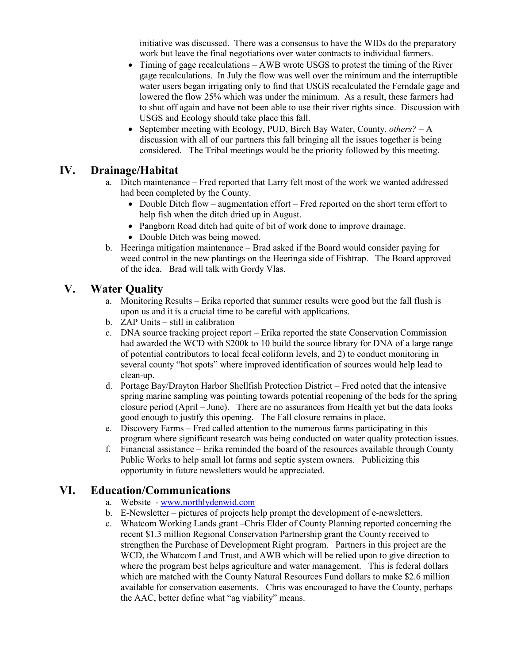initiative was discussed. There was a consensus to have the WIDs do the preparatory work but leave the final negotiations over water contracts to individual farmers.

- Timing of gage recalculations AWB wrote USGS to protest the timing of the River gage recalculations. In July the flow was well over the minimum and the interruptible water users began irrigating only to find that USGS recalculated the Ferndale gage and lowered the flow 25% which was under the minimum. As a result, these farmers had to shut off again and have not been able to use their river rights since. Discussion with USGS and Ecology should take place this fall.
- September meeting with Ecology, PUD, Birch Bay Water, County, *others?* A discussion with all of our partners this fall bringing all the issues together is being considered. The Tribal meetings would be the priority followed by this meeting.

### **IV. Drainage/Habitat**

- a. Ditch maintenance Fred reported that Larry felt most of the work we wanted addressed had been completed by the County.
	- Double Ditch flow augmentation effort Fred reported on the short term effort to help fish when the ditch dried up in August.
	- Pangborn Road ditch had quite of bit of work done to improve drainage.
	- Double Ditch was being mowed.
- b. Heeringa mitigation maintenance Brad asked if the Board would consider paying for weed control in the new plantings on the Heeringa side of Fishtrap. The Board approved of the idea. Brad will talk with Gordy Vlas.

### **V. Water Quality**

- a. Monitoring Results Erika reported that summer results were good but the fall flush is upon us and it is a crucial time to be careful with applications.
- b. ZAP Units still in calibration
- c. DNA source tracking project report Erika reported the state Conservation Commission had awarded the WCD with \$200k to 10 build the source library for DNA of a large range of potential contributors to local fecal coliform levels, and 2) to conduct monitoring in several county "hot spots" where improved identification of sources would help lead to clean-up.
- d. Portage Bay/Drayton Harbor Shellfish Protection District Fred noted that the intensive spring marine sampling was pointing towards potential reopening of the beds for the spring closure period (April – June). There are no assurances from Health yet but the data looks good enough to justify this opening. The Fall closure remains in place.
- e. Discovery Farms Fred called attention to the numerous farms participating in this program where significant research was being conducted on water quality protection issues.
- f. Financial assistance Erika reminded the board of the resources available through County Public Works to help small lot farms and septic system owners. Publicizing this opportunity in future newsletters would be appreciated.

## **VI. Education/Communications**

- a. Website [www.northlydenwid.com](http://www.northlydenwid.com/)
- b. E-Newsletter pictures of projects help prompt the development of e-newsletters.
- c. Whatcom Working Lands grant –Chris Elder of County Planning reported concerning the recent \$1.3 million Regional Conservation Partnership grant the County received to strengthen the Purchase of Development Right program. Partners in this project are the WCD, the Whatcom Land Trust, and AWB which will be relied upon to give direction to where the program best helps agriculture and water management. This is federal dollars which are matched with the County Natural Resources Fund dollars to make \$2.6 million available for conservation easements. Chris was encouraged to have the County, perhaps the AAC, better define what "ag viability" means.